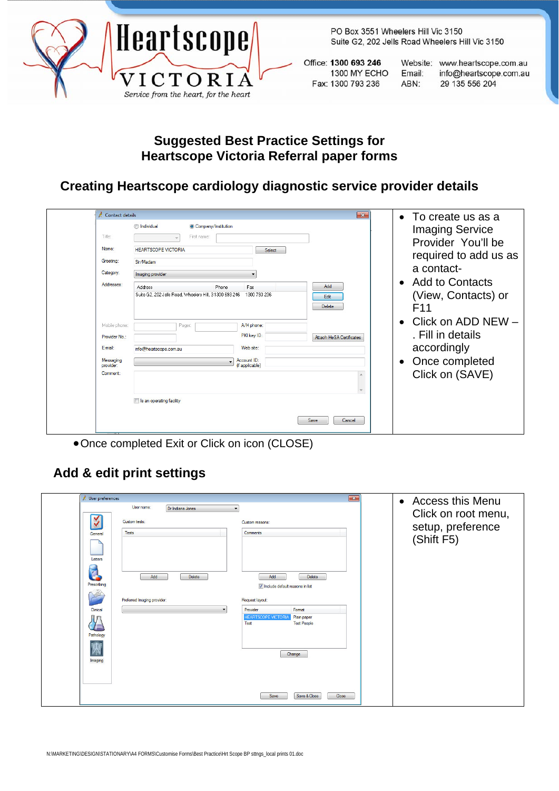

PO Box 3551 Wheelers Hill Vic 3150 Suite G2, 202 Jells Road Wheelers Hill Vic 3150

Office: 1300 693 246 1300 MY ECHO Fax: 1300 793 236

Website: www.heartscope.com.au Email: info@heartscope.com.au ABN: 29 135 556 204

## **Suggested Best Practice Settings for Heartscope Victoria Referral paper forms**

## **Creating Heartscope cardiology diagnostic service provider details**

| Contact details<br>Title:<br>Name:<br>Greeting:<br>Category:<br>Addresses:      | <b>ndividual</b><br>Company/Institution<br>First name:<br><b>HEARTSCOPE VICTORIA</b><br>Sir/Madam<br>Imaging provider<br><b>Address</b><br>Phone<br>Suite G2, 202 Jells Road, Wheelers Hill, 31300 693 246 | $\mathbf{z}$<br>Select<br>Add<br>Fax<br>1300 793 236<br>Edit                                                                            | $\bullet$ To create us as a<br><b>Imaging Service</b><br>Provider You'll be<br>required to add us as<br>a contact-<br><b>Add to Contacts</b><br>$\bullet$<br>(View, Contacts) or |
|---------------------------------------------------------------------------------|------------------------------------------------------------------------------------------------------------------------------------------------------------------------------------------------------------|-----------------------------------------------------------------------------------------------------------------------------------------|----------------------------------------------------------------------------------------------------------------------------------------------------------------------------------|
| Mobile phone:<br>Provider No.:<br>E-mail:<br>Messaging<br>provider:<br>Comment: | Pager:<br>info@heartscope.com.au<br>Is an operating facility                                                                                                                                               | Delete<br>A/H phone:<br>PKI key ID:<br><b>Attach HeSA Certificates</b><br>Web site:<br>Account ID:<br>(if applicable)<br>Save<br>Cancel | F <sub>11</sub><br>Click on ADD NEW -<br>$\bullet$<br>. Fill in details<br>accordingly<br>Once completed<br>$\bullet$<br>Click on (SAVE)                                         |

•Once completed Exit or Click on icon (CLOSE)

## **Add & edit print settings**

| User preferences                                       |                                         | $\sqrt{1-x^2}$                                                                                                                                                 | • Access this Menu                                     |
|--------------------------------------------------------|-----------------------------------------|----------------------------------------------------------------------------------------------------------------------------------------------------------------|--------------------------------------------------------|
|                                                        | User name:<br>Dr Indiana Jones          |                                                                                                                                                                |                                                        |
| K<br>General<br>Letters<br>$\mathbf{d}$<br>Prescribing | Custom tests:<br>Tests<br>Add<br>Delete | Custom reasons:<br>Comments<br>Add<br><b>Delete</b>                                                                                                            | Click on root menu,<br>setup, preference<br>(Shift F5) |
| Clinical<br>Pathology<br>庚<br>Imaging                  | Preferred Imaging provider:             | V Include default reasons in list<br>Request layout:<br>Provider<br>Format<br><b>HEARTSCOPE VICTORI</b><br>Plain paper<br>Test<br><b>Test People</b><br>Change |                                                        |
|                                                        |                                         | Save & Close<br>Close<br>Save                                                                                                                                  |                                                        |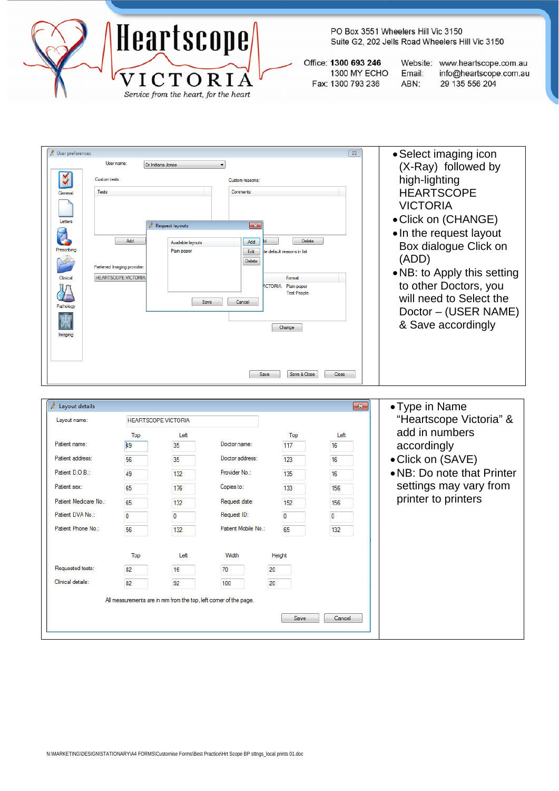

PO Box 3551 Wheelers Hill Vic 3150 Suite G2, 202 Jells Road Wheelers Hill Vic 3150

Office: 1300 693 246 1300 MY ECHO Fax: 1300 793 236

Website: www.heartscope.com.au info@heartscope.com.au Email: 29 135 556 204 ABN:

| User preferences        | User name:                  |                            |                                                                  |                                                     | $\Sigma$       | • Select imaging icon       |
|-------------------------|-----------------------------|----------------------------|------------------------------------------------------------------|-----------------------------------------------------|----------------|-----------------------------|
|                         |                             | Dr Indiana Jones           | $\blacktriangledown$                                             |                                                     |                | (X-Ray) followed by         |
| у<br>Custom tests:      |                             |                            | Custom reasons                                                   |                                                     |                | high-lighting               |
| <b>Tests</b><br>General |                             |                            | Comments                                                         |                                                     |                | <b>HEARTSCOPE</b>           |
|                         |                             |                            |                                                                  |                                                     |                | <b>VICTORIA</b>             |
| Letters                 |                             |                            |                                                                  |                                                     |                | • Click on (CHANGE)         |
|                         |                             | <b>Request layouts</b>     | $\mathbf{x}$                                                     |                                                     |                | • In the request layout     |
| Z                       | Add                         | Available layouts          | Add                                                              | Delete                                              |                | Box dialogue Click on       |
| Prescribing             |                             | Plain paper                | Edit                                                             | te default reasons in list                          |                | (ADD)                       |
|                         | Preferred Imaging provider: |                            | Delete                                                           |                                                     |                |                             |
| Clinical                | <b>HEARTSCOPE VICTORIA</b>  |                            |                                                                  | Format                                              |                | . NB: to Apply this setting |
|                         |                             |                            |                                                                  | <b>ICTORIA</b><br>Plain paper<br><b>Test People</b> |                | to other Doctors, you       |
| Patholog                |                             |                            | Save<br>Cancel                                                   |                                                     |                | will need to Select the     |
|                         |                             |                            |                                                                  |                                                     |                | Doctor – (USER NAME)        |
|                         |                             |                            |                                                                  | Change                                              |                | & Save accordingly          |
| Imaging                 |                             |                            |                                                                  |                                                     |                |                             |
|                         |                             |                            |                                                                  |                                                     |                |                             |
|                         |                             |                            |                                                                  |                                                     |                |                             |
|                         |                             |                            | Save                                                             | Save & Close                                        | Close          |                             |
|                         |                             |                            |                                                                  |                                                     |                |                             |
|                         |                             |                            |                                                                  |                                                     |                |                             |
| Layout details          |                             |                            |                                                                  |                                                     | $\mathbf{x}$   | • Type in Name              |
| Layout name:            |                             | <b>HEARTSCOPE VICTORIA</b> |                                                                  |                                                     |                | "Heartscope Victoria" &     |
|                         | Top                         | Left                       |                                                                  | Top                                                 | Left           | add in numbers              |
| Patient name:           | 49                          | 35                         | Doctor name:                                                     | 117                                                 | 16             | accordingly                 |
| Patient address:        | 56                          | 35                         | Doctor address:                                                  | 123                                                 | 16             | • Click on (SAVE)           |
| Patient D.O.B.:         | 49                          | 132                        | Provider No.:                                                    | 135                                                 | 16             | • NB: Do note that Printer  |
| Patient sex:            | 65                          | 176                        | Copies to:                                                       | 133                                                 | 156            | settings may vary from      |
| Patient Medicare No.:   | 65                          | 132                        | Request date:                                                    | 152                                                 | 156            | printer to printers         |
| Patient DVA No.:        | $\mathbf{0}$                | 0                          | Request ID:                                                      | $\mathbf{0}$                                        | $\overline{0}$ |                             |
| Patient Phone No.:      | 56                          | 132                        | Patient Mobile No.:                                              | 65                                                  | 132            |                             |
|                         | Top                         | Left                       | Width                                                            | Height                                              |                |                             |
| Requested tests:        | 82                          | 16                         | 70<br>20                                                         |                                                     |                |                             |
| Clinical details:       | 82                          | 92                         | 100<br>20                                                        |                                                     |                |                             |
|                         |                             |                            |                                                                  |                                                     |                |                             |
|                         |                             |                            | All measurements are in mm from the top, left comer of the page. |                                                     |                |                             |
|                         |                             |                            |                                                                  | Save                                                | Cancel         |                             |
|                         |                             |                            |                                                                  |                                                     |                |                             |
|                         |                             |                            |                                                                  |                                                     |                |                             |